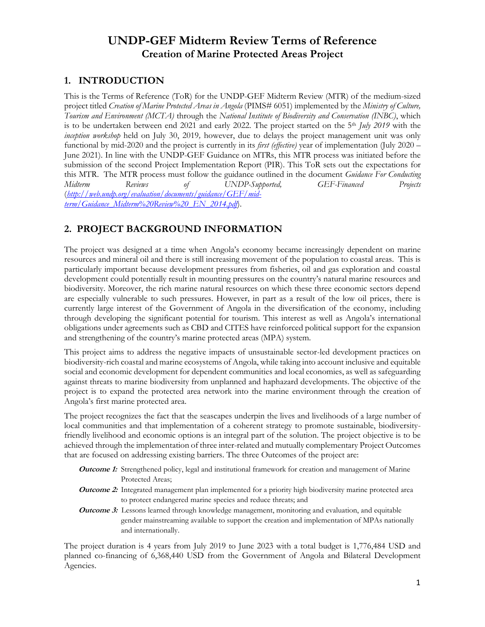# **UNDP-GEF Midterm Review Terms of Reference Creation of Marine Protected Areas Project**

### **1. INTRODUCTION**

This is the Terms of Reference (ToR) for the UNDP-GEF Midterm Review (MTR) of the medium-sized project titled *Creation of Marine Protected Areas in Angola* (PIMS# 6051) implemented by the *Ministry of Culture, Tourism and Environment (MCTA)* through the *National Institute of Biodiversity and Conservation (INBC)*, which is to be undertaken between end 2021 and early 2022. The project started on the 5<sup>th</sup> *July 2019* with the *inception workshop* held on July 30, 2019*,* however, due to delays the project management unit was only functional by mid-2020 and the project is currently in its *first (effective)* year of implementation (July 2020 – June 2021). In line with the UNDP-GEF Guidance on MTRs, this MTR process was initiated before the submission of the second Project Implementation Report (PIR). This ToR sets out the expectations for this MTR. The MTR process must follow the guidance outlined in the document *Guidance For Conducting Midterm Reviews of UNDP-Supported, GEF-Financed Projects* (*[http://web.undp.org/evaluation/documents/guidance/GEF/mid](http://web.undp.org/evaluation/documents/guidance/GEF/mid-term/Guidance_Midterm%20Review%20_EN_2014.pdf)[term/Guidance\\_Midterm%20Review%20\\_EN\\_2014.pdf](http://web.undp.org/evaluation/documents/guidance/GEF/mid-term/Guidance_Midterm%20Review%20_EN_2014.pdf)*).

# **2. PROJECT BACKGROUND INFORMATION**

The project was designed at a time when Angola's economy became increasingly dependent on marine resources and mineral oil and there is still increasing movement of the population to coastal areas. This is particularly important because development pressures from fisheries, oil and gas exploration and coastal development could potentially result in mounting pressures on the country's natural marine resources and biodiversity. Moreover, the rich marine natural resources on which these three economic sectors depend are especially vulnerable to such pressures. However, in part as a result of the low oil prices, there is currently large interest of the Government of Angola in the diversification of the economy, including through developing the significant potential for tourism. This interest as well as Angola's international obligations under agreements such as CBD and CITES have reinforced political support for the expansion and strengthening of the country's marine protected areas (MPA) system.

This project aims to address the negative impacts of unsustainable sector-led development practices on biodiversity-rich coastal and marine ecosystems of Angola, while taking into account inclusive and equitable social and economic development for dependent communities and local economies, as well as safeguarding against threats to marine biodiversity from unplanned and haphazard developments. The objective of the project is to expand the protected area network into the marine environment through the creation of Angola's first marine protected area.

The project recognizes the fact that the seascapes underpin the lives and livelihoods of a large number of local communities and that implementation of a coherent strategy to promote sustainable, biodiversityfriendly livelihood and economic options is an integral part of the solution. The project objective is to be achieved through the implementation of three inter-related and mutually complementary Project Outcomes that are focused on addressing existing barriers. The three Outcomes of the project are:

- **Outcome 1:** Strengthened policy, legal and institutional framework for creation and management of Marine Protected Areas;
- **Outcome 2:** Integrated management plan implemented for a priority high biodiversity marine protected area to protect endangered marine species and reduce threats; and
- **Outcome 3:** Lessons learned through knowledge management, monitoring and evaluation, and equitable gender mainstreaming available to support the creation and implementation of MPAs nationally and internationally.

The project duration is 4 years from July 2019 to June 2023 with a total budget is 1,776,484 USD and planned co-financing of 6,368,440 USD from the Government of Angola and Bilateral Development Agencies.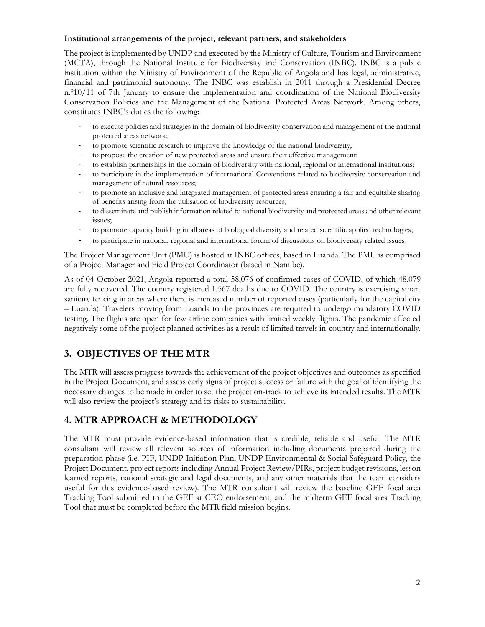#### **Institutional arrangements of the project, relevant partners, and stakeholders**

The project is implemented by UNDP and executed by the Ministry of Culture, Tourism and Environment (MCTA), through the National Institute for Biodiversity and Conservation (INBC). INBC is a public institution within the Ministry of Environment of the Republic of Angola and has legal, administrative, financial and patrimonial autonomy. The INBC was establish in 2011 through a Presidential Decree n.º10/11 of 7th January to ensure the implementation and coordination of the National Biodiversity Conservation Policies and the Management of the National Protected Areas Network. Among others, constitutes INBC's duties the following:

- to execute policies and strategies in the domain of biodiversity conservation and management of the national protected areas network;
- to promote scientific research to improve the knowledge of the national biodiversity;
- to propose the creation of new protected areas and ensure their effective management;
- to establish partnerships in the domain of biodiversity with national, regional or international institutions;
- to participate in the implementation of international Conventions related to biodiversity conservation and management of natural resources;
- to promote an inclusive and integrated management of protected areas ensuring a fair and equitable sharing of benefits arising from the utilisation of biodiversity resources;
- to disseminate and publish information related to national biodiversity and protected areas and other relevant issues;
- to promote capacity building in all areas of biological diversity and related scientific applied technologies;
- to participate in national, regional and international forum of discussions on biodiversity related issues.

The Project Management Unit (PMU) is hosted at INBC offices, based in Luanda. The PMU is comprised of a Project Manager and Field Project Coordinator (based in Namibe).

As of 04 October 2021, Angola reported a total 58,076 of confirmed cases of COVID, of which 48,079 are fully recovered. The country registered 1,567 deaths due to COVID. The country is exercising smart sanitary fencing in areas where there is increased number of reported cases (particularly for the capital city – Luanda). Travelers moving from Luanda to the provinces are required to undergo mandatory COVID testing. The flights are open for few airline companies with limited weekly flights. The pandemic affected negatively some of the project planned activities as a result of limited travels in-country and internationally.

## **3. OBJECTIVES OF THE MTR**

The MTR will assess progress towards the achievement of the project objectives and outcomes as specified in the Project Document, and assess early signs of project success or failure with the goal of identifying the necessary changes to be made in order to set the project on-track to achieve its intended results. The MTR will also review the project's strategy and its risks to sustainability.

### **4. MTR APPROACH & METHODOLOGY**

The MTR must provide evidence-based information that is credible, reliable and useful. The MTR consultant will review all relevant sources of information including documents prepared during the preparation phase (i.e. PIF, UNDP Initiation Plan, UNDP Environmental & Social Safeguard Policy, the Project Document, project reports including Annual Project Review/PIRs, project budget revisions, lesson learned reports, national strategic and legal documents, and any other materials that the team considers useful for this evidence-based review). The MTR consultant will review the baseline GEF focal area Tracking Tool submitted to the GEF at CEO endorsement, and the midterm GEF focal area Tracking Tool that must be completed before the MTR field mission begins.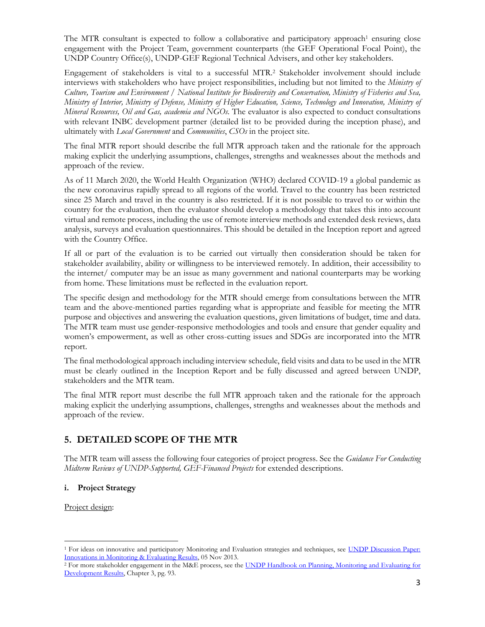The MTR consultant is expected to follow a collaborative and participatory approach<sup>1</sup> ensuring close engagement with the Project Team, government counterparts (the GEF Operational Focal Point), the UNDP Country Office(s), UNDP-GEF Regional Technical Advisers, and other key stakeholders.

Engagement of stakeholders is vital to a successful MTR.<sup>2</sup> Stakeholder involvement should include interviews with stakeholders who have project responsibilities, including but not limited to the *Ministry of Culture, Tourism and Environment / National Institute for Biodiversity and Conservation, Ministry of Fisheries and Sea, Ministry of Interior, Ministry of Defense, Ministry of Higher Education, Science, Technology and Innovation, Ministry of Mineral Resources, Oil and Gas, academia and NGOs.* The evaluator is also expected to conduct consultations with relevant INBC development partner (detailed list to be provided during the inception phase), and ultimately with *Local Government* and *Communities*, *CSOs* in the project site.

The final MTR report should describe the full MTR approach taken and the rationale for the approach making explicit the underlying assumptions, challenges, strengths and weaknesses about the methods and approach of the review.

As of 11 March 2020, the World Health Organization (WHO) declared COVID-19 a global pandemic as the new coronavirus rapidly spread to all regions of the world. Travel to the country has been restricted since 25 March and travel in the country is also restricted. If it is not possible to travel to or within the country for the evaluation, then the evaluator should develop a methodology that takes this into account virtual and remote process, including the use of remote interview methods and extended desk reviews, data analysis, surveys and evaluation questionnaires. This should be detailed in the Inception report and agreed with the Country Office.

If all or part of the evaluation is to be carried out virtually then consideration should be taken for stakeholder availability, ability or willingness to be interviewed remotely. In addition, their accessibility to the internet/ computer may be an issue as many government and national counterparts may be working from home. These limitations must be reflected in the evaluation report.

The specific design and methodology for the MTR should emerge from consultations between the MTR team and the above-mentioned parties regarding what is appropriate and feasible for meeting the MTR purpose and objectives and answering the evaluation questions, given limitations of budget, time and data. The MTR team must use gender-responsive methodologies and tools and ensure that gender equality and women's empowerment, as well as other cross-cutting issues and SDGs are incorporated into the MTR report.

The final methodological approach including interview schedule, field visits and data to be used in the MTR must be clearly outlined in the Inception Report and be fully discussed and agreed between UNDP, stakeholders and the MTR team.

The final MTR report must describe the full MTR approach taken and the rationale for the approach making explicit the underlying assumptions, challenges, strengths and weaknesses about the methods and approach of the review.

## **5. DETAILED SCOPE OF THE MTR**

The MTR team will assess the following four categories of project progress. See the *Guidance For Conducting Midterm Reviews of UNDP-Supported, GEF-Financed Projects* for extended descriptions.

#### **i. Project Strategy**

Project design:

<sup>&</sup>lt;sup>1</sup> For ideas on innovative and participatory Monitoring and Evaluation strategies and techniques, see UNDP Discussion Paper: [Innovations in Monitoring & Evaluating Results,](http://www.undp.org/content/undp/en/home/librarypage/capacity-building/discussion-paper--innovations-in-monitoring---evaluating-results/) 05 Nov 2013.

<sup>&</sup>lt;sup>2</sup> For more stakeholder engagement in the M&E process, see the [UNDP Handbook on Planning, Monitoring](http://www.undg.org/docs/11653/UNDP-PME-Handbook-(2009).pdf) and Evaluating for [Development Results,](http://www.undg.org/docs/11653/UNDP-PME-Handbook-(2009).pdf) Chapter 3, pg. 93.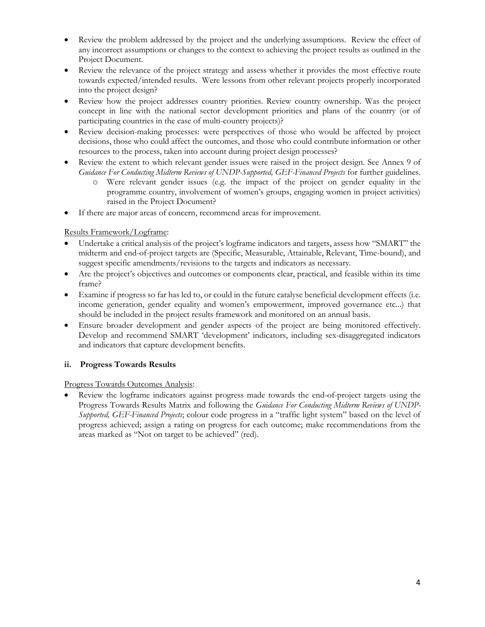- Review the problem addressed by the project and the underlying assumptions. Review the effect of any incorrect assumptions or changes to the context to achieving the project results as outlined in the Project Document.
- Review the relevance of the project strategy and assess whether it provides the most effective route towards expected/intended results. Were lessons from other relevant projects properly incorporated into the project design?
- Review how the project addresses country priorities. Review country ownership. Was the project concept in line with the national sector development priorities and plans of the country (or of participating countries in the case of multi-country projects)?
- Review decision-making processes: were perspectives of those who would be affected by project decisions, those who could affect the outcomes, and those who could contribute information or other resources to the process, taken into account during project design processes?
- Review the extent to which relevant gender issues were raised in the project design. See Annex 9 of *Guidance For Conducting Midterm Reviews of UNDP-Supported, GEF-Financed Projects* for further guidelines.
	- o Were relevant gender issues (e.g. the impact of the project on gender equality in the programme country, involvement of women's groups, engaging women in project activities) raised in the Project Document?
- If there are major areas of concern, recommend areas for improvement.

#### Results Framework/Logframe:

- Undertake a critical analysis of the project's logframe indicators and targets, assess how "SMART" the midterm and end-of-project targets are (Specific, Measurable, Attainable, Relevant, Time-bound), and suggest specific amendments/revisions to the targets and indicators as necessary.
- Are the project's objectives and outcomes or components clear, practical, and feasible within its time frame?
- Examine if progress so far has led to, or could in the future catalyse beneficial development effects (i.e. income generation, gender equality and women's empowerment, improved governance etc...) that should be included in the project results framework and monitored on an annual basis.
- Ensure broader development and gender aspects of the project are being monitored effectively. Develop and recommend SMART 'development' indicators, including sex-disaggregated indicators and indicators that capture development benefits.

#### **ii. Progress Towards Results**

#### Progress Towards Outcomes Analysis:

Review the logframe indicators against progress made towards the end-of-project targets using the Progress Towards Results Matrix and following the *Guidance For Conducting Midterm Reviews of UNDP-Supported, GEF-Financed Projects*; colour code progress in a "traffic light system" based on the level of progress achieved; assign a rating on progress for each outcome; make recommendations from the areas marked as "Not on target to be achieved" (red).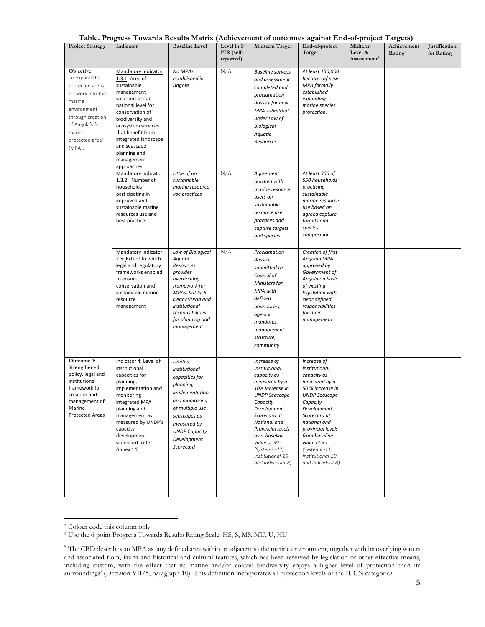|  | Table. Progress Towards Results Matrix (Achievement of outcomes against End-of-project Targets) |  |  |  |
|--|-------------------------------------------------------------------------------------------------|--|--|--|
|  |                                                                                                 |  |  |  |

| <b>Project Strategy</b>                                                                                                                                                                 | radic. I regress Towards Results matrix (Achievement of outcomes against End-or-project Targets)<br>Indicator                                                                                                                                                                       | <b>Baseline Level</b>                                                                                                                                                                                | Level in 1st<br>PIR (self-<br>reported) | Midterm Target                                                                                                                                                                                                                                                                    | End-of-project<br>Target                                                                                                                                                                                                                                                           | Midterm<br>Level &<br>Assessment <sup>3</sup> | Achievement<br>Rating <sup>4</sup> | Justification<br>for Rating |
|-----------------------------------------------------------------------------------------------------------------------------------------------------------------------------------------|-------------------------------------------------------------------------------------------------------------------------------------------------------------------------------------------------------------------------------------------------------------------------------------|------------------------------------------------------------------------------------------------------------------------------------------------------------------------------------------------------|-----------------------------------------|-----------------------------------------------------------------------------------------------------------------------------------------------------------------------------------------------------------------------------------------------------------------------------------|------------------------------------------------------------------------------------------------------------------------------------------------------------------------------------------------------------------------------------------------------------------------------------|-----------------------------------------------|------------------------------------|-----------------------------|
| Objective:<br>To expand the<br>protected areas<br>network into the<br>marine<br>environment<br>through creation<br>of Angola's first<br>marine<br>protected area <sup>5</sup><br>(MPA). | Mandatory Indicator<br>1.3.1: Area of<br>sustainable<br>management<br>solutions at sub-<br>national level for<br>conservation of<br>biodiversity and<br>ecosystem services<br>that benefit from<br>integrated landscape<br>and seascape<br>planning and<br>management<br>approaches | No MPAs<br>established in<br>Angola                                                                                                                                                                  | N/A                                     | <b>Baseline surveys</b><br>and assessment<br>completed and<br>proclamation<br>dossier for new<br>MPA submitted<br>under Law of<br><b>Biological</b><br>Aquatic<br>Resources                                                                                                       | At least 150,000<br>hectares of new<br><b>MPA</b> formally<br>established<br>expanding<br>marine species<br>protection.                                                                                                                                                            |                                               |                                    |                             |
|                                                                                                                                                                                         | Mandatory indicator<br>1.3.2: Number of<br>households<br>participating in<br>improved and<br>sustainable marine<br>resources use and<br>best practice                                                                                                                               | Little of no<br>sustainable<br>marine resource<br>use practices                                                                                                                                      | N/A                                     | Agreement<br>reached with<br>marine resource<br>users on<br>sustainable<br>resource use<br>practices and<br>capture targets<br>and species                                                                                                                                        | At least 300 of<br>550 households<br>practicing<br>sustainable<br>marine resource<br>use based on<br>agreed capture<br>targets and<br>species<br>composition                                                                                                                       |                                               |                                    |                             |
|                                                                                                                                                                                         | Mandatory indicator<br>2.5: Extent to which<br>legal and regulatory<br>frameworks enabled<br>to ensure<br>conservation and<br>sustainable marine<br>resource<br>management                                                                                                          | Law of Biological<br>Aquatic<br>Resources<br>provides<br>overarching<br>framework for<br>MPAs, but lack<br>clear criteria and<br>institutional<br>responsibilities<br>for planning and<br>management | N/A                                     | Proclamation<br>dossier<br>submitted to<br>Council of<br>Ministers for<br>MPA with<br>defined<br>boundaries,<br>agency<br>mandates,<br>management<br>structure,<br>community                                                                                                      | Creation of first<br>Angolan MPA<br>approved by<br>Government of<br>Angola on basis<br>of existing<br>legislation with<br>clear defined<br>responsibilities<br>for their<br>management                                                                                             |                                               |                                    |                             |
| Outcome 1:<br>Strengthened<br>policy, legal and<br>institutional<br>framework for<br>creation and<br>management of<br>Marine<br>Protected Areas                                         | Indicator 4: Level of<br>institutional<br>capacities for<br>planning,<br>implementation and<br>monitoring<br>integrated MPA<br>planning and<br>management as<br>measured by UNDP's<br>capacity<br>development<br>scorecard (refer<br>Annex 14)                                      | Limited<br>institutional<br>capacities for<br>planning,<br>implementation<br>and monitoring<br>of multiple use<br>seascapes as<br>measured by<br><b>UNDP Capacity</b><br>Development<br>Scorecard    |                                         | Increase of<br>institutional<br>capacity as<br>measured by a<br>10% increase in<br><b>UNDP Seascape</b><br>Capacity<br>Development<br>Scorecard at<br>National and<br>Provincial levels<br>over baseline<br>value of 39<br>(Systemic-11;<br>Institutional-20<br>and Individual-8) | Increase of<br>institutional<br>capacity as<br>measured by a<br>50 % increase in<br><b>UNDP Seascape</b><br>Capacity<br>Development<br>Scorecard at<br>national and<br>provincial levels<br>from baseline<br>value of 39<br>(Systemic-11;<br>Institutional-20<br>and Individual-8) |                                               |                                    |                             |

<sup>3</sup> Colour code this column only

<sup>4</sup> Use the 6 point Progress Towards Results Rating Scale: HS, S, MS, MU, U, HU

<sup>&</sup>lt;sup>5</sup> The CBD describes an MPA as 'any defined area within or adjacent to the marine environment, together with its overlying waters and associated flora, fauna and historical and cultural features, which has been reserved by legislation or other effective means, including custom, with the effect that its marine and/or coastal biodiversity enjoys a higher level of protection than its surroundings' (Decision VII/5, paragraph 10). This definition incorporates all protection levels of the IUCN categories.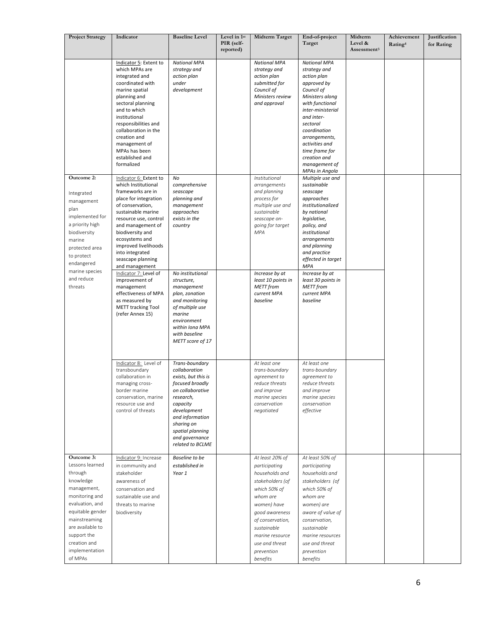| <b>Project Strategy</b>                                                                                                                                                                                                        | Indicator                                                                                                                                                                                                                                                                                                   | <b>Baseline Level</b>                                                                                                                                                                                                            | Level in 1st<br>PIR (self-<br>reported) | <b>Midterm Target</b>                                                                                                                                                                                                                 | End-of-project<br>Target                                                                                                                                                                                                                                                                     | Midterm<br>Level &<br>Assessment <sup>3</sup> | Achievement<br>Rating <sup>4</sup> | Justification<br>for Rating |
|--------------------------------------------------------------------------------------------------------------------------------------------------------------------------------------------------------------------------------|-------------------------------------------------------------------------------------------------------------------------------------------------------------------------------------------------------------------------------------------------------------------------------------------------------------|----------------------------------------------------------------------------------------------------------------------------------------------------------------------------------------------------------------------------------|-----------------------------------------|---------------------------------------------------------------------------------------------------------------------------------------------------------------------------------------------------------------------------------------|----------------------------------------------------------------------------------------------------------------------------------------------------------------------------------------------------------------------------------------------------------------------------------------------|-----------------------------------------------|------------------------------------|-----------------------------|
|                                                                                                                                                                                                                                | Indicator 5: Extent to<br>which MPAs are<br>integrated and<br>coordinated with<br>marine spatial<br>planning and<br>sectoral planning<br>and to which<br>institutional<br>responsibilities and<br>collaboration in the<br>creation and<br>management of<br>MPAs has been<br>established and<br>formalized   | <b>National MPA</b><br>strategy and<br>action plan<br>under<br>development                                                                                                                                                       |                                         | <b>National MPA</b><br>strategy and<br>action plan<br>submitted for<br>Council of<br>Ministers review<br>and approval                                                                                                                 | <b>National MPA</b><br>strategy and<br>action plan<br>approved by<br>Council of<br>Ministers along<br>with functional<br>inter-ministerial<br>and inter-<br>sectoral<br>coordination<br>arrangements,<br>activities and<br>time frame for<br>creation and<br>management of<br>MPAs in Angola |                                               |                                    |                             |
| Outcome 2:<br>Integrated<br>management<br>plan<br>implemented for<br>a priority high<br>biodiversity<br>marine<br>protected area<br>to protect<br>endangered                                                                   | Indicator 6: Extent to<br>which Institutional<br>frameworks are in<br>place for integration<br>of conservation,<br>sustainable marine<br>resource use, control<br>and management of<br>biodiversity and<br>ecosystems and<br>improved livelihoods<br>into integrated<br>seascape planning<br>and management | No<br>comprehensive<br>seascape<br>planning and<br>management<br>approaches<br>exists in the<br>country                                                                                                                          |                                         | Institutional<br>arrangements<br>and planning<br>process for<br>multiple use and<br>sustainable<br>seascape on-<br>going for target<br><b>MPA</b>                                                                                     | Multiple use and<br>sustainable<br>seascape<br>approaches<br>institutionalized<br>by national<br>legislative,<br>policy, and<br>institutional<br>arrangements<br>and planning<br>and practice<br>effected in target<br><b>MPA</b>                                                            |                                               |                                    |                             |
| marine species<br>and reduce<br>threats                                                                                                                                                                                        | Indicator 7: Level of<br>improvement of<br>management<br>effectiveness of MPA<br>as measured by<br><b>METT tracking Tool</b><br>(refer Annex 15)                                                                                                                                                            | No institutional<br>structure,<br>management<br>plan, zonation<br>and monitoring<br>of multiple use<br>marine<br>environment<br>within Iona MPA<br>with baseline<br>METT score of 17                                             |                                         | Increase by at<br>least 10 points in<br><b>METT</b> from<br>current MPA<br>baseline                                                                                                                                                   | Increase by at<br>least 30 points in<br><b>METT</b> from<br>current MPA<br>baseline                                                                                                                                                                                                          |                                               |                                    |                             |
|                                                                                                                                                                                                                                | Indicator 8: Level of<br>transboundary<br>collaboration in<br>managing cross-<br>border marine<br>conservation, marine<br>resource use and<br>control of threats                                                                                                                                            | Trans-boundary<br>collaboration<br>exists, but this is<br>focused broadly<br>on collaborative<br>research,<br>capacity<br>development<br>and information<br>sharing on<br>spatial planning<br>and governance<br>related to BCLME |                                         | At least one<br>trans-boundary<br>agreement to<br>reduce threats<br>and improve<br>marine species<br>conservation<br>negotiated                                                                                                       | At least one<br>trans-boundary<br>agreement to<br>reduce threats<br>and improve<br>marine species<br>conservation<br>effective                                                                                                                                                               |                                               |                                    |                             |
| Outcome 3:<br>Lessons learned<br>through<br>knowledge<br>management,<br>monitoring and<br>evaluation, and<br>equitable gender<br>mainstreaming<br>are available to<br>support the<br>creation and<br>implementation<br>of MPAs | Indicator 9: Increase<br>in community and<br>stakeholder<br>awareness of<br>conservation and<br>sustainable use and<br>threats to marine<br>biodiversity                                                                                                                                                    | Baseline to be<br>established in<br>Year 1                                                                                                                                                                                       |                                         | At least 20% of<br>participating<br>households and<br>stakeholders (of<br>which 50% of<br>whom are<br>women) have<br>good awareness<br>of conservation,<br>sustainable<br>marine resource<br>use and threat<br>prevention<br>benefits | At least 50% of<br>participating<br>households and<br>stakeholders (of<br>which 50% of<br>whom are<br>women) are<br>aware of value of<br>conservation,<br>sustainable<br>marine resources<br>use and threat<br>prevention<br>benefits                                                        |                                               |                                    |                             |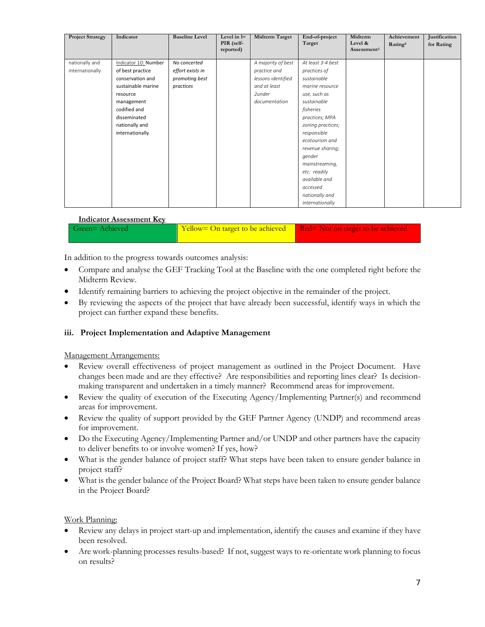| <b>Project Strategy</b> | Indicator            | <b>Baseline Level</b> | Level in 1st<br>PIR (self-<br>reported) | Midterm Target     | End-of-project<br>Target | Midterm<br>Level &<br>Assessment <sup>3</sup> | Achievement<br>Rating <sup>4</sup> | Justification<br>for Rating |
|-------------------------|----------------------|-----------------------|-----------------------------------------|--------------------|--------------------------|-----------------------------------------------|------------------------------------|-----------------------------|
| nationally and          | Indicator 10: Number | No concerted          |                                         | A majority of best | At least 3-4 best        |                                               |                                    |                             |
| internationally         | of best practice     | effort exists in      |                                         | practice and       | practices of             |                                               |                                    |                             |
|                         | conservation and     | promoting best        |                                         | lessons identified | sustainable              |                                               |                                    |                             |
|                         | sustainable marine   | practices             |                                         | and at least       | marine resource          |                                               |                                    |                             |
|                         | resource             |                       |                                         | 2under             | use, such as             |                                               |                                    |                             |
|                         | management           |                       |                                         | documentation      | sustainable              |                                               |                                    |                             |
|                         | codified and         |                       |                                         |                    | fisheries                |                                               |                                    |                             |
|                         | disseminated         |                       |                                         |                    | practices; MPA           |                                               |                                    |                             |
|                         | nationally and       |                       |                                         |                    | zoning practices;        |                                               |                                    |                             |
|                         | internationally      |                       |                                         |                    | responsible              |                                               |                                    |                             |
|                         |                      |                       |                                         |                    | ecotourism and           |                                               |                                    |                             |
|                         |                      |                       |                                         |                    | revenue sharing;         |                                               |                                    |                             |
|                         |                      |                       |                                         |                    | gender                   |                                               |                                    |                             |
|                         |                      |                       |                                         |                    | mainstreaming,           |                                               |                                    |                             |
|                         |                      |                       |                                         |                    | etc. readily             |                                               |                                    |                             |
|                         |                      |                       |                                         |                    | available and            |                                               |                                    |                             |
|                         |                      |                       |                                         |                    | accessed                 |                                               |                                    |                             |
|                         |                      |                       |                                         |                    | nationally and           |                                               |                                    |                             |
|                         |                      |                       |                                         |                    | internationally          |                                               |                                    |                             |

#### **Indicator Assessment Key**

| Green=Achieved | Yellow= On target to be achieved Red= Not on target to be achieved |  |
|----------------|--------------------------------------------------------------------|--|
|----------------|--------------------------------------------------------------------|--|

In addition to the progress towards outcomes analysis:

- Compare and analyse the GEF Tracking Tool at the Baseline with the one completed right before the Midterm Review.
- Identify remaining barriers to achieving the project objective in the remainder of the project.
- By reviewing the aspects of the project that have already been successful, identify ways in which the project can further expand these benefits.

#### **iii. Project Implementation and Adaptive Management**

#### Management Arrangements:

- Review overall effectiveness of project management as outlined in the Project Document. Have changes been made and are they effective? Are responsibilities and reporting lines clear? Is decisionmaking transparent and undertaken in a timely manner? Recommend areas for improvement.
- Review the quality of execution of the Executing Agency/Implementing Partner(s) and recommend areas for improvement.
- Review the quality of support provided by the GEF Partner Agency (UNDP) and recommend areas for improvement.
- Do the Executing Agency/Implementing Partner and/or UNDP and other partners have the capacity to deliver benefits to or involve women? If yes, how?
- What is the gender balance of project staff? What steps have been taken to ensure gender balance in project staff?
- What is the gender balance of the Project Board? What steps have been taken to ensure gender balance in the Project Board?

#### Work Planning:

- Review any delays in project start-up and implementation, identify the causes and examine if they have been resolved.
- Are work-planning processes results-based? If not, suggest ways to re-orientate work planning to focus on results?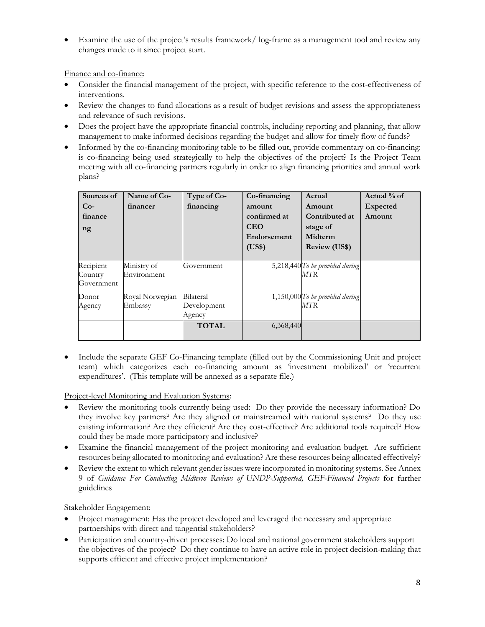Examine the use of the project's results framework/ log-frame as a management tool and review any changes made to it since project start.

Finance and co-finance:

- Consider the financial management of the project, with specific reference to the cost-effectiveness of interventions.
- Review the changes to fund allocations as a result of budget revisions and assess the appropriateness and relevance of such revisions.
- Does the project have the appropriate financial controls, including reporting and planning, that allow management to make informed decisions regarding the budget and allow for timely flow of funds?
- Informed by the co-financing monitoring table to be filled out, provide commentary on co-financing: is co-financing being used strategically to help the objectives of the project? Is the Project Team meeting with all co-financing partners regularly in order to align financing priorities and annual work plans?

| Sources of<br>$Co-$<br>finance<br>ng | Name of Co-<br>financer    | Type of Co-<br>financing           | Co-financing<br>amount<br>confirmed at<br><b>CEO</b><br>Endorsement<br>(US\$) | Actual<br>Amount<br>Contributed at<br>stage of<br>Midterm<br><b>Review (US\$)</b> | Actual % of<br><b>Expected</b><br>Amount |
|--------------------------------------|----------------------------|------------------------------------|-------------------------------------------------------------------------------|-----------------------------------------------------------------------------------|------------------------------------------|
| Recipient<br>Country<br>Government   | Ministry of<br>Environment | Government                         |                                                                               | 5,218,440 To be provided during<br>MTR                                            |                                          |
| Donor<br>Agency                      | Royal Norwegian<br>Embassy | Bilateral<br>Development<br>Agency |                                                                               | 1,150,000 To be provided during<br><i>MTR</i>                                     |                                          |
|                                      |                            | <b>TOTAL</b>                       | 6,368,440                                                                     |                                                                                   |                                          |

• Include the separate GEF Co-Financing template (filled out by the Commissioning Unit and project team) which categorizes each co-financing amount as 'investment mobilized' or 'recurrent expenditures'. (This template will be annexed as a separate file.)

Project-level Monitoring and Evaluation Systems:

- Review the monitoring tools currently being used: Do they provide the necessary information? Do they involve key partners? Are they aligned or mainstreamed with national systems? Do they use existing information? Are they efficient? Are they cost-effective? Are additional tools required? How could they be made more participatory and inclusive?
- Examine the financial management of the project monitoring and evaluation budget. Are sufficient resources being allocated to monitoring and evaluation? Are these resources being allocated effectively?
- Review the extent to which relevant gender issues were incorporated in monitoring systems. See Annex 9 of *Guidance For Conducting Midterm Reviews of UNDP-Supported, GEF-Financed Projects* for further guidelines

Stakeholder Engagement:

- Project management: Has the project developed and leveraged the necessary and appropriate partnerships with direct and tangential stakeholders?
- Participation and country-driven processes: Do local and national government stakeholders support the objectives of the project? Do they continue to have an active role in project decision-making that supports efficient and effective project implementation?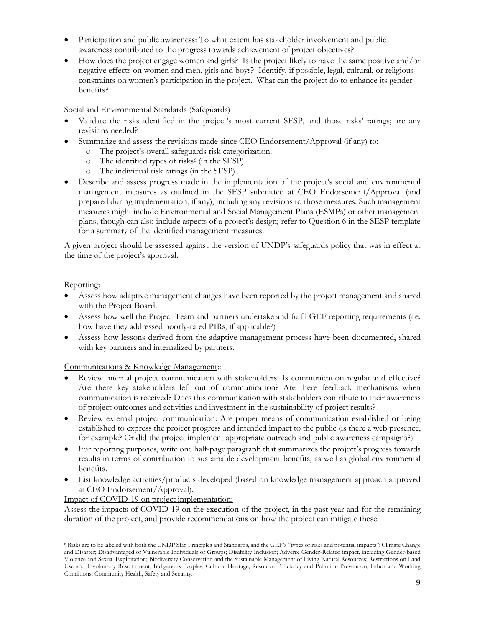- Participation and public awareness: To what extent has stakeholder involvement and public awareness contributed to the progress towards achievement of project objectives?
- How does the project engage women and girls? Is the project likely to have the same positive and/or negative effects on women and men, girls and boys? Identify, if possible, legal, cultural, or religious constraints on women's participation in the project. What can the project do to enhance its gender benefits?

#### Social and Environmental Standards (Safeguards)

- Validate the risks identified in the project's most current SESP, and those risks' ratings; are any revisions needed?
- Summarize and assess the revisions made since CEO Endorsement/Approval (if any) to:
	- o The project's overall safeguards risk categorization.
	- o The identified types of risks<sup>6</sup> (in the SESP).
	- o The individual risk ratings (in the SESP) .
- Describe and assess progress made in the implementation of the project's social and environmental management measures as outlined in the SESP submitted at CEO Endorsement/Approval (and prepared during implementation, if any), including any revisions to those measures. Such management measures might include Environmental and Social Management Plans (ESMPs) or other management plans, though can also include aspects of a project's design; refer to Question 6 in the SESP template for a summary of the identified management measures.

A given project should be assessed against the version of UNDP's safeguards policy that was in effect at the time of the project's approval.

#### Reporting:

- Assess how adaptive management changes have been reported by the project management and shared with the Project Board.
- Assess how well the Project Team and partners undertake and fulfil GEF reporting requirements (i.e. how have they addressed poorly-rated PIRs, if applicable?)
- Assess how lessons derived from the adaptive management process have been documented, shared with key partners and internalized by partners.

#### Communications & Knowledge Management::

- Review internal project communication with stakeholders: Is communication regular and effective? Are there key stakeholders left out of communication? Are there feedback mechanisms when communication is received? Does this communication with stakeholders contribute to their awareness of project outcomes and activities and investment in the sustainability of project results?
- Review external project communication: Are proper means of communication established or being established to express the project progress and intended impact to the public (is there a web presence, for example? Or did the project implement appropriate outreach and public awareness campaigns?)
- For reporting purposes, write one half-page paragraph that summarizes the project's progress towards results in terms of contribution to sustainable development benefits, as well as global environmental benefits.
- List knowledge activities/products developed (based on knowledge management approach approved at CEO Endorsement/Approval).

#### Impact of COVID-19 on project implementation:

Assess the impacts of COVID-19 on the execution of the project, in the past year and for the remaining duration of the project, and provide recommendations on how the project can mitigate these.

<sup>6</sup> Risks are to be labeled with both the UNDP SES Principles and Standards, and the GEF's "types of risks and potential impacts": Climate Change and Disaster; Disadvantaged or Vulnerable Individuals or Groups; Disability Inclusion; Adverse Gender-Related impact, including Gender-based Violence and Sexual Exploitation; Biodiversity Conservation and the Sustainable Management of Living Natural Resources; Restrictions on Land Use and Involuntary Resettlement; Indigenous Peoples; Cultural Heritage; Resource Efficiency and Pollution Prevention; Labor and Working Conditions; Community Health, Safety and Security.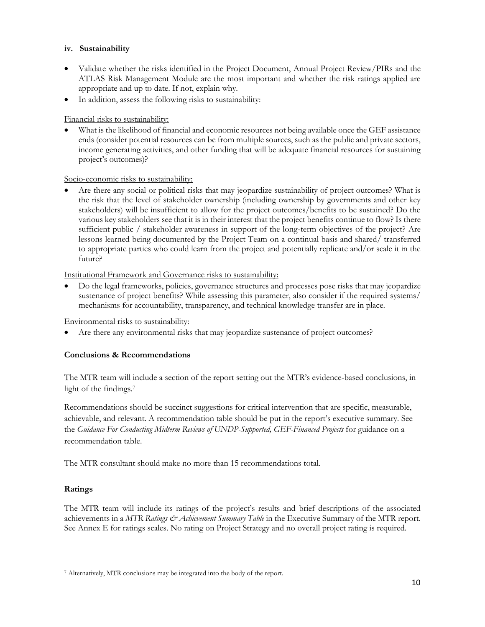#### **iv. Sustainability**

- Validate whether the risks identified in the Project Document, Annual Project Review/PIRs and the ATLAS Risk Management Module are the most important and whether the risk ratings applied are appropriate and up to date. If not, explain why.
- In addition, assess the following risks to sustainability:

### Financial risks to sustainability:

What is the likelihood of financial and economic resources not being available once the GEF assistance ends (consider potential resources can be from multiple sources, such as the public and private sectors, income generating activities, and other funding that will be adequate financial resources for sustaining project's outcomes)?

#### Socio-economic risks to sustainability:

• Are there any social or political risks that may jeopardize sustainability of project outcomes? What is the risk that the level of stakeholder ownership (including ownership by governments and other key stakeholders) will be insufficient to allow for the project outcomes/benefits to be sustained? Do the various key stakeholders see that it is in their interest that the project benefits continue to flow? Is there sufficient public / stakeholder awareness in support of the long-term objectives of the project? Are lessons learned being documented by the Project Team on a continual basis and shared/ transferred to appropriate parties who could learn from the project and potentially replicate and/or scale it in the future?

#### Institutional Framework and Governance risks to sustainability:

• Do the legal frameworks, policies, governance structures and processes pose risks that may jeopardize sustenance of project benefits? While assessing this parameter, also consider if the required systems/ mechanisms for accountability, transparency, and technical knowledge transfer are in place.

#### Environmental risks to sustainability:

Are there any environmental risks that may jeopardize sustenance of project outcomes?

### **Conclusions & Recommendations**

The MTR team will include a section of the report setting out the MTR's evidence-based conclusions, in light of the findings.<sup>7</sup>

Recommendations should be succinct suggestions for critical intervention that are specific, measurable, achievable, and relevant. A recommendation table should be put in the report's executive summary. See the *Guidance For Conducting Midterm Reviews of UNDP-Supported, GEF-Financed Projects* for guidance on a recommendation table.

The MTR consultant should make no more than 15 recommendations total.

### **Ratings**

The MTR team will include its ratings of the project's results and brief descriptions of the associated achievements in a *MTR Ratings & Achievement Summary Table* in the Executive Summary of the MTR report. See Annex E for ratings scales. No rating on Project Strategy and no overall project rating is required.

<sup>7</sup> Alternatively, MTR conclusions may be integrated into the body of the report.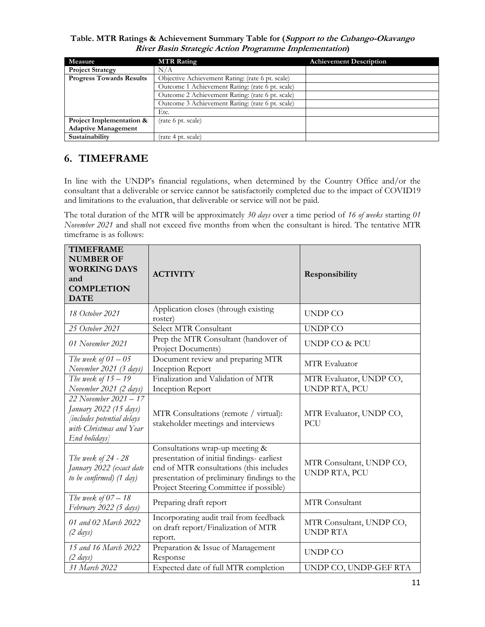**Table. MTR Ratings & Achievement Summary Table for (Support to the Cubango-Okavango River Basin Strategic Action Programme Implementation)**

| Measure                         | <b>MTR Rating</b>                                | <b>Achievement Description</b> |
|---------------------------------|--------------------------------------------------|--------------------------------|
| <b>Project Strategy</b>         | N/A                                              |                                |
| <b>Progress Towards Results</b> | Objective Achievement Rating: (rate 6 pt. scale) |                                |
|                                 | Outcome 1 Achievement Rating: (rate 6 pt. scale) |                                |
|                                 | Outcome 2 Achievement Rating: (rate 6 pt. scale) |                                |
|                                 | Outcome 3 Achievement Rating: (rate 6 pt. scale) |                                |
|                                 | Etc.                                             |                                |
| Project Implementation &        | (rate 6 pt. scale)                               |                                |
| <b>Adaptive Management</b>      |                                                  |                                |
| Sustainability                  | (rate 4 pt. scale)                               |                                |

# **6. TIMEFRAME**

In line with the UNDP's financial regulations, when determined by the Country Office and/or the consultant that a deliverable or service cannot be satisfactorily completed due to the impact of COVID19 and limitations to the evaluation, that deliverable or service will not be paid.

The total duration of the MTR will be approximately *30 days* over a time period of *16 of weeks* starting *01 November 2021* and shall not exceed five months from when the consultant is hired. The tentative MTR timeframe is as follows:

| <b>TIMEFRAME</b><br><b>NUMBER OF</b><br><b>WORKING DAYS</b><br>and<br><b>COMPLETION</b><br><b>DATE</b>                           | <b>ACTIVITY</b>                                                                                                                                                                                                    | Responsibility                            |
|----------------------------------------------------------------------------------------------------------------------------------|--------------------------------------------------------------------------------------------------------------------------------------------------------------------------------------------------------------------|-------------------------------------------|
| 18 October 2021                                                                                                                  | Application closes (through existing<br>roster)                                                                                                                                                                    | <b>UNDP CO</b>                            |
| 25 October 2021                                                                                                                  | Select MTR Consultant                                                                                                                                                                                              | <b>UNDP CO</b>                            |
| 01 November 2021                                                                                                                 | Prep the MTR Consultant (handover of<br>Project Documents)                                                                                                                                                         | UNDP CO & PCU                             |
| The week of $01 - 05$<br>November 2021 (3 days)                                                                                  | Document review and preparing MTR<br>Inception Report                                                                                                                                                              | MTR Evaluator                             |
| The week of $15-19$<br>November 2021 (2 days)                                                                                    | Finalization and Validation of MTR<br>Inception Report                                                                                                                                                             | MTR Evaluator, UNDP CO,<br>UNDP RTA, PCU  |
| 22 November 2021 - 17<br>January 2022 (15 days)<br><i>fincludes potential delays</i><br>with Christmas and Year<br>End holidays] | MTR Consultations (remote / virtual):<br>stakeholder meetings and interviews                                                                                                                                       | MTR Evaluator, UNDP CO,<br>PCU            |
| The week of 24 - 28<br>January 2022 (exact date<br>to be confirmed) (1 day)                                                      | Consultations wrap-up meeting &<br>presentation of initial findings- earliest<br>end of MTR consultations (this includes<br>presentation of preliminary findings to the<br>Project Steering Committee if possible) | MTR Consultant, UNDP CO,<br>UNDP RTA, PCU |
| The week of $07-18$<br>February 2022 (5 days)                                                                                    | Preparing draft report                                                                                                                                                                                             | <b>MTR</b> Consultant                     |
| 01 and 02 March 2022<br>$(2 \text{ days})$                                                                                       | Incorporating audit trail from feedback<br>on draft report/Finalization of MTR<br>report.                                                                                                                          |                                           |
| 15 and 16 March 2022<br>$(2 \; days)$                                                                                            | Preparation & Issue of Management<br>Response                                                                                                                                                                      | UNDP CO                                   |
| 31 March 2022                                                                                                                    | Expected date of full MTR completion                                                                                                                                                                               | UNDP CO, UNDP-GEF RTA                     |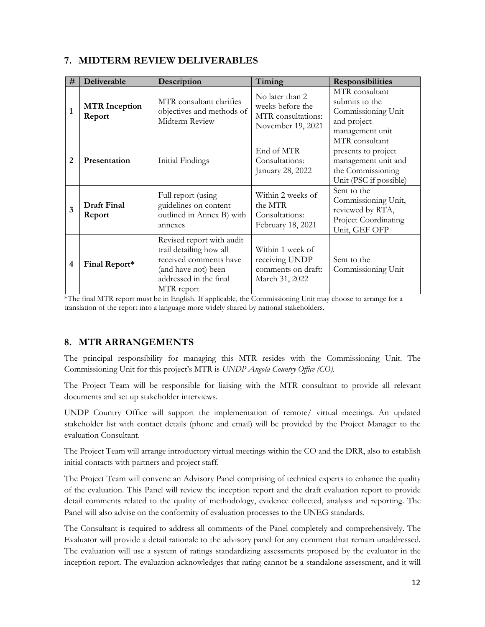### **7. MIDTERM REVIEW DELIVERABLES**

| #            | Deliverable                    | Description                                                                                                                                   | Timing                                                                         | <b>Responsibilities</b>                                                                                     |
|--------------|--------------------------------|-----------------------------------------------------------------------------------------------------------------------------------------------|--------------------------------------------------------------------------------|-------------------------------------------------------------------------------------------------------------|
| $\mathbf{1}$ | <b>MTR</b> Inception<br>Report | MTR consultant clarifies<br>objectives and methods of<br>Midterm Review                                                                       | No later than 2<br>weeks before the<br>MTR consultations:<br>November 19, 2021 | MTR consultant<br>submits to the<br>Commissioning Unit<br>and project<br>management unit                    |
| 2            | Presentation                   | Initial Findings                                                                                                                              | End of MTR<br>Consultations:<br>January 28, 2022                               | MTR consultant<br>presents to project<br>management unit and<br>the Commissioning<br>Unit (PSC if possible) |
| 3            | Draft Final<br>Report          | Full report (using<br>guidelines on content<br>outlined in Annex B) with<br>annexes                                                           | Within 2 weeks of<br>the MTR<br>Consultations:<br>February 18, 2021            | Sent to the<br>Commissioning Unit,<br>reviewed by RTA,<br><b>Project Coordinating</b><br>Unit, GEF OFP      |
| 4            | Final Report*                  | Revised report with audit<br>trail detailing how all<br>received comments have<br>(and have not) been<br>addressed in the final<br>MTR report | Within 1 week of<br>receiving UNDP<br>comments on draft:<br>March 31, 2022     | Sent to the<br>Commissioning Unit                                                                           |

\*The final MTR report must be in English. If applicable, the Commissioning Unit may choose to arrange for a translation of the report into a language more widely shared by national stakeholders.

### **8. MTR ARRANGEMENTS**

The principal responsibility for managing this MTR resides with the Commissioning Unit. The Commissioning Unit for this project's MTR is *UNDP Angola Country Office (CO).*

The Project Team will be responsible for liaising with the MTR consultant to provide all relevant documents and set up stakeholder interviews.

UNDP Country Office will support the implementation of remote/ virtual meetings. An updated stakeholder list with contact details (phone and email) will be provided by the Project Manager to the evaluation Consultant.

The Project Team will arrange introductory virtual meetings within the CO and the DRR, also to establish initial contacts with partners and project staff.

The Project Team will convene an Advisory Panel comprising of technical experts to enhance the quality of the evaluation. This Panel will review the inception report and the draft evaluation report to provide detail comments related to the quality of methodology, evidence collected, analysis and reporting. The Panel will also advise on the conformity of evaluation processes to the UNEG standards.

The Consultant is required to address all comments of the Panel completely and comprehensively. The Evaluator will provide a detail rationale to the advisory panel for any comment that remain unaddressed. The evaluation will use a system of ratings standardizing assessments proposed by the evaluator in the inception report. The evaluation acknowledges that rating cannot be a standalone assessment, and it will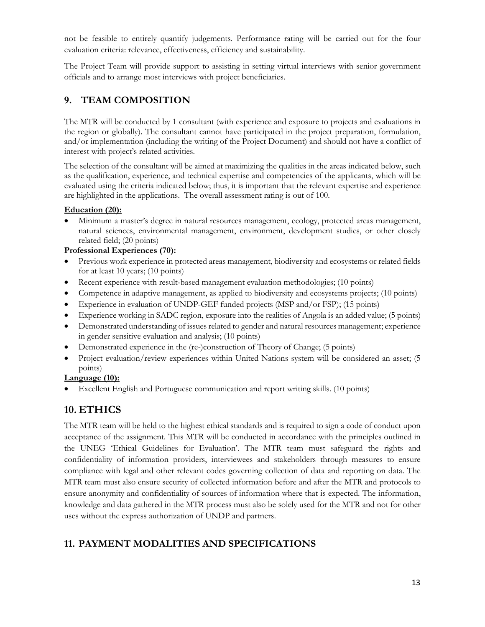not be feasible to entirely quantify judgements. Performance rating will be carried out for the four evaluation criteria: relevance, effectiveness, efficiency and sustainability.

The Project Team will provide support to assisting in setting virtual interviews with senior government officials and to arrange most interviews with project beneficiaries.

# **9. TEAM COMPOSITION**

The MTR will be conducted by 1 consultant (with experience and exposure to projects and evaluations in the region or globally). The consultant cannot have participated in the project preparation, formulation, and/or implementation (including the writing of the Project Document) and should not have a conflict of interest with project's related activities.

The selection of the consultant will be aimed at maximizing the qualities in the areas indicated below, such as the qualification, experience, and technical expertise and competencies of the applicants, which will be evaluated using the criteria indicated below; thus, it is important that the relevant expertise and experience are highlighted in the applications. The overall assessment rating is out of 100.

### **Education (20):**

• Minimum a master's degree in natural resources management, ecology, protected areas management, natural sciences, environmental management, environment, development studies, or other closely related field; (20 points)

#### **Professional Experiences (70):**

- Previous work experience in protected areas management, biodiversity and ecosystems or related fields for at least 10 years; (10 points)
- Recent experience with result-based management evaluation methodologies; (10 points)
- Competence in adaptive management, as applied to biodiversity and ecosystems projects; (10 points)
- Experience in evaluation of UNDP-GEF funded projects (MSP and/or FSP); (15 points)
- Experience working in SADC region, exposure into the realities of Angola is an added value; (5 points)
- Demonstrated understanding of issues related to gender and natural resources management; experience in gender sensitive evaluation and analysis; (10 points)
- Demonstrated experience in the (re-)construction of Theory of Change; (5 points)
- Project evaluation/review experiences within United Nations system will be considered an asset; (5 points)

### **Language (10):**

• Excellent English and Portuguese communication and report writing skills. (10 points)

# **10. ETHICS**

The MTR team will be held to the highest ethical standards and is required to sign a code of conduct upon acceptance of the assignment. This MTR will be conducted in accordance with the principles outlined in the UNEG 'Ethical Guidelines for Evaluation'. The MTR team must safeguard the rights and confidentiality of information providers, interviewees and stakeholders through measures to ensure compliance with legal and other relevant codes governing collection of data and reporting on data. The MTR team must also ensure security of collected information before and after the MTR and protocols to ensure anonymity and confidentiality of sources of information where that is expected. The information, knowledge and data gathered in the MTR process must also be solely used for the MTR and not for other uses without the express authorization of UNDP and partners.

## **11. PAYMENT MODALITIES AND SPECIFICATIONS**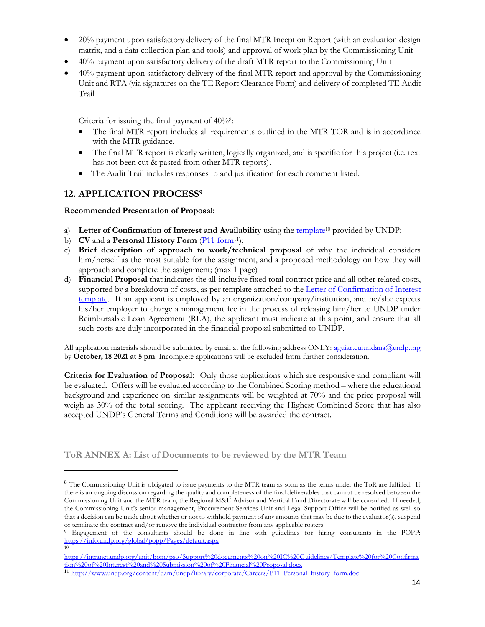- 20% payment upon satisfactory delivery of the final MTR Inception Report (with an evaluation design matrix, and a data collection plan and tools) and approval of work plan by the Commissioning Unit
- 40% payment upon satisfactory delivery of the draft MTR report to the Commissioning Unit
- 40% payment upon satisfactory delivery of the final MTR report and approval by the Commissioning Unit and RTA (via signatures on the TE Report Clearance Form) and delivery of completed TE Audit Trail

Criteria for issuing the final payment of 40%<sup>8</sup>:

- The final MTR report includes all requirements outlined in the MTR TOR and is in accordance with the MTR guidance.
- The final MTR report is clearly written, logically organized, and is specific for this project (i.e. text has not been cut & pasted from other MTR reports).
- The Audit Trail includes responses to and justification for each comment listed.

## **12. APPLICATION PROCESS<sup>9</sup>**

#### **Recommended Presentation of Proposal:**

- a) Letter of Confirmation of Interest and Availability using the [template](https://intranet.undp.org/unit/bom/pso/Support%20documents%20on%20IC%20Guidelines/Template%20for%20Confirmation%20of%20Interest%20and%20Submission%20of%20Financial%20Proposal.docx)<sup>10</sup> provided by UNDP;
- b) **CV** and a **Personal History Form** (*P11 form<sup>11</sup>):*
- c) **Brief description of approach to work/technical proposal** of why the individual considers him/herself as the most suitable for the assignment, and a proposed methodology on how they will approach and complete the assignment; (max 1 page)
- d) **Financial Proposal** that indicates the all-inclusive fixed total contract price and all other related costs, supported by a breakdown of costs, as per template attached to the *Letter of Confirmation of Interest* [template.](http://procurement-notices.undp.org/view_file.cfm?doc_id=29916) If an applicant is employed by an organization/company/institution, and he/she expects his/her employer to charge a management fee in the process of releasing him/her to UNDP under Reimbursable Loan Agreement (RLA), the applicant must indicate at this point, and ensure that all such costs are duly incorporated in the financial proposal submitted to UNDP.

All application materials should be submitted by email at the following address ONLY: [aguiar.cuiundana@undp.org](mailto:aguiar.cuiundana@undp.org) by **October, 18 2021 at 5 pm**. Incomplete applications will be excluded from further consideration.

**Criteria for Evaluation of Proposal:** Only those applications which are responsive and compliant will be evaluated. Offers will be evaluated according to the Combined Scoring method – where the educational background and experience on similar assignments will be weighted at 70% and the price proposal will weigh as 30% of the total scoring. The applicant receiving the Highest Combined Score that has also accepted UNDP's General Terms and Conditions will be awarded the contract.

**ToR ANNEX A: List of Documents to be reviewed by the MTR Team** 

<sup>&</sup>lt;sup>8</sup> The Commissioning Unit is obligated to issue payments to the MTR team as soon as the terms under the ToR are fulfilled. If there is an ongoing discussion regarding the quality and completeness of the final deliverables that cannot be resolved between the Commissioning Unit and the MTR team, the Regional M&E Advisor and Vertical Fund Directorate will be consulted. If needed, the Commissioning Unit's senior management, Procurement Services Unit and Legal Support Office will be notified as well so that a decision can be made about whether or not to withhold payment of any amounts that may be due to the evaluator(s), suspend or terminate the contract and/or remove the individual contractor from any applicable rosters.

<sup>9</sup> Engagement of the consultants should be done in line with guidelines for hiring consultants in the POPP: <https://info.undp.org/global/popp/Pages/default.aspx> 10

[https://intranet.undp.org/unit/bom/pso/Support%20documents%20on%20IC%20Guidelines/Template%20for%20Confirma](https://intranet.undp.org/unit/bom/pso/Support%20documents%20on%20IC%20Guidelines/Template%20for%20Confirmation%20of%20Interest%20and%20Submission%20of%20Financial%20Proposal.docx) [tion%20of%20Interest%20and%20Submission%20of%20Financial%20Proposal.docx](https://intranet.undp.org/unit/bom/pso/Support%20documents%20on%20IC%20Guidelines/Template%20for%20Confirmation%20of%20Interest%20and%20Submission%20of%20Financial%20Proposal.docx)

<sup>11</sup> [http://www.undp.org/content/dam/undp/library/corporate/Careers/P11\\_Personal\\_history\\_form.doc](http://www.undp.org/content/dam/undp/library/corporate/Careers/P11_Personal_history_form.doc)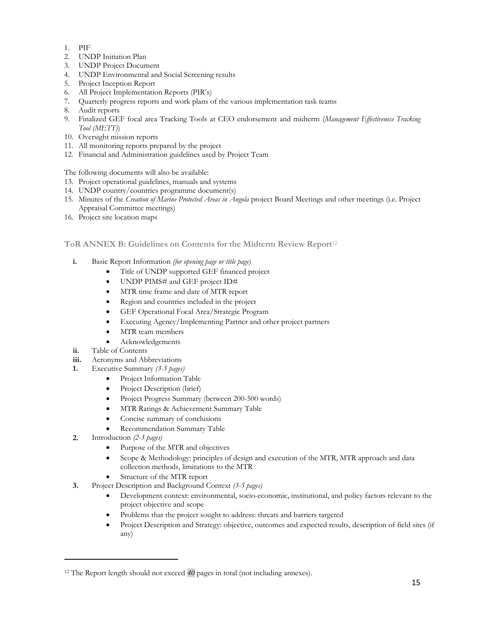- 1. PIF
- 2. UNDP Initiation Plan
- 3. UNDP Project Document
- 4. UNDP Environmental and Social Screening results
- 5. Project Inception Report
- 6. All Project Implementation Reports (PIR's)
- 7. Quarterly progress reports and work plans of the various implementation task teams
- 8. Audit reports
- 9. Finalized GEF focal area Tracking Tools at CEO endorsement and midterm (*Management Effectiveness Tracking Tool (METT)*)
- 10. Oversight mission reports
- 11. All monitoring reports prepared by the project
- 12. Financial and Administration guidelines used by Project Team

The following documents will also be available:

- 13. Project operational guidelines, manuals and systems
- 14. UNDP country/countries programme document(s)
- 15. Minutes of the *Creation of Marine Protected Areas in Angola* project Board Meetings and other meetings (i.e. Project Appraisal Committee meetings)
- 16. Project site location maps

#### **ToR ANNEX B: Guidelines on Contents for the Midterm Review Report**<sup>12</sup>

- **i.** Basic Report Information *(for opening page or title page)*
	- Title of UNDP supported GEF financed project
		- UNDP PIMS# and GEF project ID#
		- MTR time frame and date of MTR report
		- Region and countries included in the project
		- GEF Operational Focal Area/Strategic Program
		- Executing Agency/Implementing Partner and other project partners
		- MTR team members
	- Acknowledgements
- **ii.** Table of Contents
- **iii.** Acronyms and Abbreviations
- **1.** Executive Summary *(3-5 pages)*
	- Project Information Table
	- Project Description (brief)
	- Project Progress Summary (between 200-500 words)
	- MTR Ratings & Achievement Summary Table
	- Concise summary of conclusions
	- Recommendation Summary Table
- **2.** Introduction *(2-3 pages)*
	- Purpose of the MTR and objectives
	- Scope & Methodology: principles of design and execution of the MTR, MTR approach and data collection methods, limitations to the MTR
	- Structure of the MTR report
- **3.** Project Description and Background Context *(3-5 pages)*
	- Development context: environmental, socio-economic, institutional, and policy factors relevant to the project objective and scope
	- Problems that the project sought to address: threats and barriers targeted
	- Project Description and Strategy: objective, outcomes and expected results, description of field sites (if any)

<sup>12</sup> The Report length should not exceed *40* pages in total (not including annexes).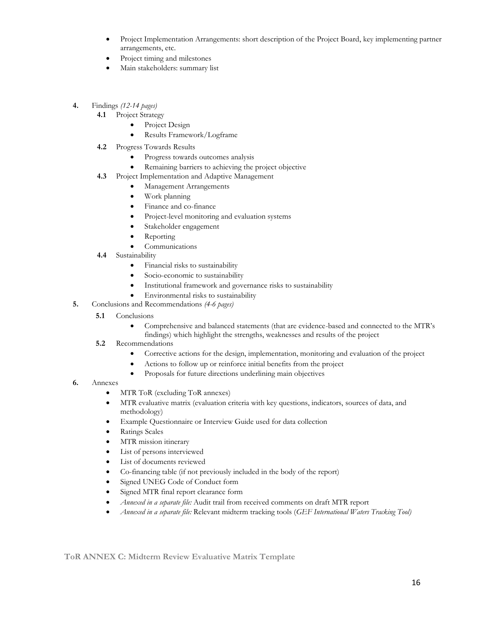- Project Implementation Arrangements: short description of the Project Board, key implementing partner arrangements, etc.
- Project timing and milestones
- Main stakeholders: summary list
- **4.** Findings *(12-14 pages)*
	- **4.1** Project Strategy
		- Project Design
		- Results Framework/Logframe
	- **4.2** Progress Towards Results
		- Progress towards outcomes analysis
		- Remaining barriers to achieving the project objective
	- **4.3** Project Implementation and Adaptive Management
		- Management Arrangements
		- Work planning
		- Finance and co-finance
		- Project-level monitoring and evaluation systems
		- Stakeholder engagement
		- **Reporting**
		- **Communications**
	- **4.4** Sustainability
		- Financial risks to sustainability
		- Socio-economic to sustainability
		- Institutional framework and governance risks to sustainability
		- Environmental risks to sustainability
- **5.** Conclusions and Recommendations *(4-6 pages)*
	- **5.1**  Conclusions
		- Comprehensive and balanced statements (that are evidence-based and connected to the MTR's findings) which highlight the strengths, weaknesses and results of the project
	- **5.2** Recommendations
		- Corrective actions for the design, implementation, monitoring and evaluation of the project
		- Actions to follow up or reinforce initial benefits from the project
		- Proposals for future directions underlining main objectives
- **6.** Annexes
	- MTR ToR (excluding ToR annexes)
	- MTR evaluative matrix (evaluation criteria with key questions, indicators, sources of data, and methodology)
	- Example Questionnaire or Interview Guide used for data collection
	- Ratings Scales
	- MTR mission itinerary
	- List of persons interviewed
	- List of documents reviewed
	- Co-financing table (if not previously included in the body of the report)
	- Signed UNEG Code of Conduct form
	- Signed MTR final report clearance form
	- *Annexed in a separate file:* Audit trail from received comments on draft MTR report
	- *Annexed in a separate file:* Relevant midterm tracking tools (*GEF International Waters Tracking Tool)*

**ToR ANNEX C: Midterm Review Evaluative Matrix Template**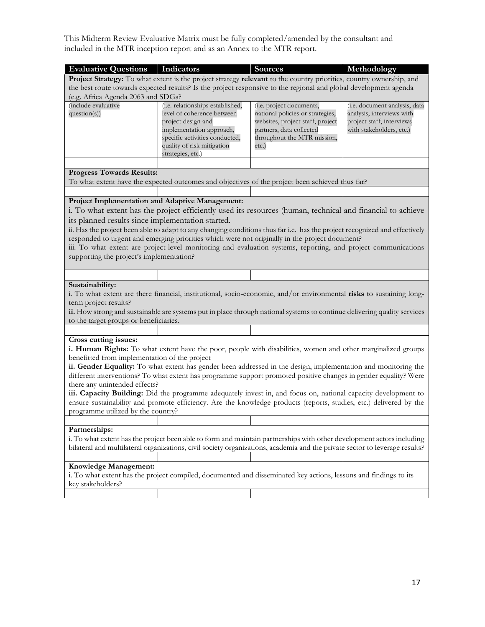This Midterm Review Evaluative Matrix must be fully completed/amended by the consultant and included in the MTR inception report and as an Annex to the MTR report.

| <b>Evaluative Questions</b>   Indicators          |                                                                                                                             | <b>Sources</b>                   | Methodology                   |
|---------------------------------------------------|-----------------------------------------------------------------------------------------------------------------------------|----------------------------------|-------------------------------|
|                                                   | Project Strategy: To what extent is the project strategy relevant to the country priorities, country ownership, and         |                                  |                               |
|                                                   | the best route towards expected results? Is the project responsive to the regional and global development agenda            |                                  |                               |
| (e.g. Africa Agenda 2063 and SDGs?                |                                                                                                                             |                                  |                               |
| (include evaluative                               | (i.e. relationships established,                                                                                            | (i.e. project documents,         | (i.e. document analysis, data |
| question(s))                                      | level of coherence between                                                                                                  | national policies or strategies, | analysis, interviews with     |
|                                                   | project design and                                                                                                          | websites, project staff, project | project staff, interviews     |
|                                                   | implementation approach,                                                                                                    | partners, data collected         | with stakeholders, etc.)      |
|                                                   | specific activities conducted,                                                                                              | throughout the MTR mission,      |                               |
|                                                   | quality of risk mitigation<br>strategies, etc.)                                                                             | etc.)                            |                               |
|                                                   |                                                                                                                             |                                  |                               |
| <b>Progress Towards Results:</b>                  |                                                                                                                             |                                  |                               |
|                                                   | To what extent have the expected outcomes and objectives of the project been achieved thus far?                             |                                  |                               |
|                                                   |                                                                                                                             |                                  |                               |
| Project Implementation and Adaptive Management:   |                                                                                                                             |                                  |                               |
|                                                   | i. To what extent has the project efficiently used its resources (human, technical and financial to achieve                 |                                  |                               |
|                                                   |                                                                                                                             |                                  |                               |
| its planned results since implementation started. |                                                                                                                             |                                  |                               |
|                                                   | ii. Has the project been able to adapt to any changing conditions thus far i.e. has the project recognized and effectively  |                                  |                               |
|                                                   | responded to urgent and emerging priorities which were not originally in the project document?                              |                                  |                               |
|                                                   | iii. To what extent are project-level monitoring and evaluation systems, reporting, and project communications              |                                  |                               |
| supporting the project's implementation?          |                                                                                                                             |                                  |                               |
|                                                   |                                                                                                                             |                                  |                               |
| Sustainability:                                   |                                                                                                                             |                                  |                               |
|                                                   | i. To what extent are there financial, institutional, socio-economic, and/or environmental risks to sustaining long-        |                                  |                               |
| term project results?                             |                                                                                                                             |                                  |                               |
|                                                   | ii. How strong and sustainable are systems put in place through national systems to continue delivering quality services    |                                  |                               |
| to the target groups or beneficiaries.            |                                                                                                                             |                                  |                               |
|                                                   |                                                                                                                             |                                  |                               |
| Cross cutting issues:                             |                                                                                                                             |                                  |                               |
|                                                   | i. Human Rights: To what extent have the poor, people with disabilities, women and other marginalized groups                |                                  |                               |
| benefitted from implementation of the project     |                                                                                                                             |                                  |                               |
|                                                   | ii. Gender Equality: To what extent has gender been addressed in the design, implementation and monitoring the              |                                  |                               |
|                                                   | different interventions? To what extent has programme support promoted positive changes in gender equality? Were            |                                  |                               |
| there any unintended effects?                     |                                                                                                                             |                                  |                               |
|                                                   | iii. Capacity Building: Did the programme adequately invest in, and focus on, national capacity development to              |                                  |                               |
|                                                   | ensure sustainability and promote efficiency. Are the knowledge products (reports, studies, etc.) delivered by the          |                                  |                               |
| programme utilized by the country?                |                                                                                                                             |                                  |                               |
|                                                   |                                                                                                                             |                                  |                               |
| Partnerships:                                     |                                                                                                                             |                                  |                               |
|                                                   | i. To what extent has the project been able to form and maintain partnerships with other development actors including       |                                  |                               |
|                                                   | bilateral and multilateral organizations, civil society organizations, academia and the private sector to leverage results? |                                  |                               |
|                                                   |                                                                                                                             |                                  |                               |
| Knowledge Management:                             |                                                                                                                             |                                  |                               |
|                                                   | i. To what extent has the project compiled, documented and disseminated key actions, lessons and findings to its            |                                  |                               |
| key stakeholders?                                 |                                                                                                                             |                                  |                               |
|                                                   |                                                                                                                             |                                  |                               |
|                                                   |                                                                                                                             |                                  |                               |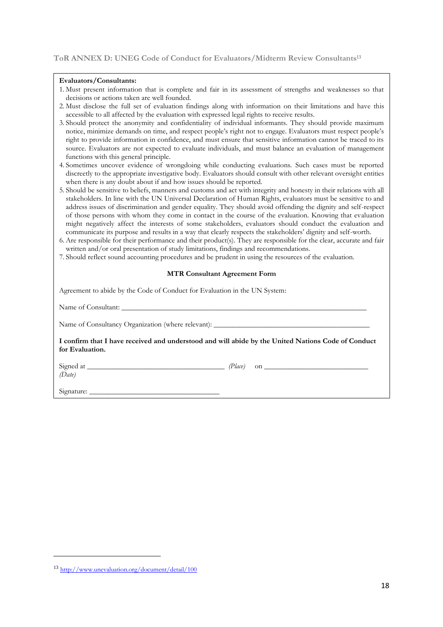#### **Evaluators/Consultants:**

- 1. Must present information that is complete and fair in its assessment of strengths and weaknesses so that decisions or actions taken are well founded.
- 2. Must disclose the full set of evaluation findings along with information on their limitations and have this accessible to all affected by the evaluation with expressed legal rights to receive results.
- 3. Should protect the anonymity and confidentiality of individual informants. They should provide maximum notice, minimize demands on time, and respect people's right not to engage. Evaluators must respect people's right to provide information in confidence, and must ensure that sensitive information cannot be traced to its source. Evaluators are not expected to evaluate individuals, and must balance an evaluation of management functions with this general principle.
- 4. Sometimes uncover evidence of wrongdoing while conducting evaluations. Such cases must be reported discreetly to the appropriate investigative body. Evaluators should consult with other relevant oversight entities when there is any doubt about if and how issues should be reported.
- 5. Should be sensitive to beliefs, manners and customs and act with integrity and honesty in their relations with all stakeholders. In line with the UN Universal Declaration of Human Rights, evaluators must be sensitive to and address issues of discrimination and gender equality. They should avoid offending the dignity and self-respect of those persons with whom they come in contact in the course of the evaluation. Knowing that evaluation might negatively affect the interests of some stakeholders, evaluators should conduct the evaluation and communicate its purpose and results in a way that clearly respects the stakeholders' dignity and self-worth.
- 6. Are responsible for their performance and their product(s). They are responsible for the clear, accurate and fair written and/or oral presentation of study limitations, findings and recommendations.
- 7. Should reflect sound accounting procedures and be prudent in using the resources of the evaluation.

#### **MTR Consultant Agreement Form**

Agreement to abide by the Code of Conduct for Evaluation in the UN System:

Name of Consultant:

Name of Consultancy Organization (where relevant):

**I confirm that I have received and understood and will abide by the United Nations Code of Conduct for Evaluation.** 

*(Date)*

Signed at *\_\_\_\_\_\_\_\_\_\_\_\_\_\_\_\_\_\_\_\_\_\_\_\_\_\_\_\_\_\_\_\_\_\_\_\_\_ (Place)* on *\_\_\_\_\_\_\_\_\_\_\_\_\_\_\_\_\_\_\_\_\_\_\_\_\_\_\_\_* 

Signature:

<sup>13</sup> <http://www.unevaluation.org/document/detail/100>